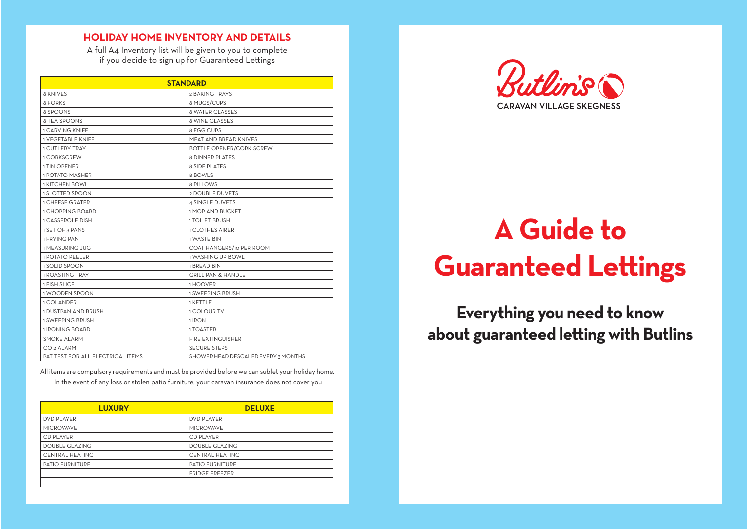## **HOLIDAY-HOME-INVENTORY-AND-DETAILS**

A full A4 Inventory list will be given to you to complete if you decide to sign up for Guaranteed Lettings

| <b>STANDARD</b>                          |                                     |
|------------------------------------------|-------------------------------------|
| 8 KNIVES                                 | 2 BAKING TRAYS                      |
| 8 FORKS                                  | 8 MUGS/CUPS                         |
| 8 SPOONS                                 | <b>8 WATER GLASSES</b>              |
| 8 TEA SPOONS                             | 8 WINE GLASSES                      |
| <b>1 CARVING KNIFF</b>                   | 8 EGG CUPS                          |
| <b>1 VEGETABLE KNIFE</b>                 | MEAT AND BREAD KNIVES               |
| <b>1 CUTLERY TRAY</b>                    | <b>BOTTLE OPENER/CORK SCREW</b>     |
| 1 CORKSCREW                              | <b>8 DINNER PLATES</b>              |
| 1 TIN OPENER                             | <b>8 SIDE PLATES</b>                |
| 1 POTATO MASHER                          | 8 BOWLS                             |
| <b>1 KITCHEN BOWL</b>                    | 8 PILLOWS                           |
| <b>1 SLOTTED SPOON</b>                   | 2 DOUBLE DUVETS                     |
| <b>1 CHEESE GRATER</b>                   | 4 SINGLE DUVETS                     |
| 1 CHOPPING BOARD                         | <b>1 MOP AND BUCKET</b>             |
| <b>1 CASSEROLE DISH</b>                  | <b>1 TOILET BRUSH</b>               |
| 1 SET OF 3 PANS                          | <b>1 CLOTHES AIRER</b>              |
| 1 FRYING PAN                             | <b>1 WASTE BIN</b>                  |
| 1 MEASURING JUG                          | COAT HANGERS/10 PER ROOM            |
| <b>1 POTATO PEELER</b>                   | 1 WASHING UP BOWL                   |
| 1 SOLID SPOON                            | 1 BREAD BIN                         |
| <b>1 ROASTING TRAY</b>                   | <b>GRILL PAN &amp; HANDLE</b>       |
| 1 FISH SLICE                             | 1 HOOVER                            |
| 1 WOODEN SPOON                           | <b>1 SWEEPING BRUSH</b>             |
| 1 COLANDER                               | 1 KETTLE                            |
| 1 DUSTPAN AND BRUSH                      | <b>1 COLOUR TV</b>                  |
| 1 SWEEPING BRUSH                         | 1 IRON                              |
| 1 IRONING BOARD                          | 1 TOASTER                           |
| <b>SMOKE ALARM</b>                       | <b>FIRE EXTINGUISHER</b>            |
| CO <sub>2</sub> ALARM                    | <b>SECURE STEPS</b>                 |
| <b>PAT TEST FOR ALL ELECTRICAL ITEMS</b> | SHOWER HEAD DESCALED EVERY 3 MONTHS |

All items are compulsory requirements and must be provided before we can sublet your holiday home.

In the event of any loss or stolen patio furniture, your caravan insurance does not cover you

| <b>LUXURY</b>          | <b>DELUXE</b>          |
|------------------------|------------------------|
| <b>DVD PLAYER</b>      | <b>DVD PLAYER</b>      |
| <b>MICROWAVE</b>       | <b>MICROWAVE</b>       |
| CD PLAYER              | <b>CD PLAYER</b>       |
| <b>DOUBLE GLAZING</b>  | <b>DOUBLE GLAZING</b>  |
| <b>CENTRAL HEATING</b> | <b>CENTRAL HEATING</b> |
| <b>PATIO FURNITURE</b> | <b>PATIO FURNITURE</b> |
|                        | <b>FRIDGE FREEZER</b>  |
|                        |                        |



# **A Guide toGuaranteed Lettings**

**Everything you need to know about guaranteed le ing with Butlins**